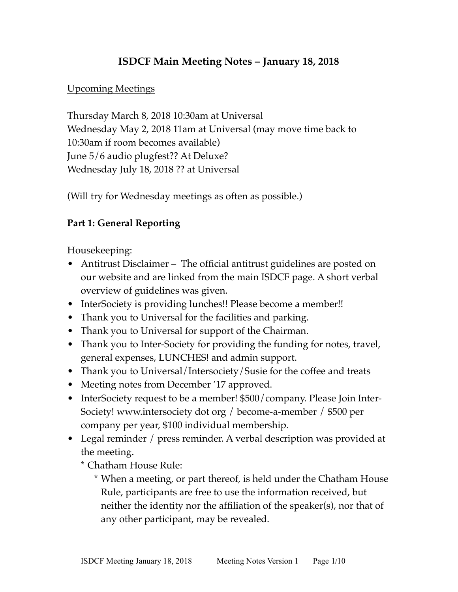### **ISDCF Main Meeting Notes – January 18, 2018**

### Upcoming Meetings

Thursday March 8, 2018 10:30am at Universal Wednesday May 2, 2018 11am at Universal (may move time back to 10:30am if room becomes available) June 5/6 audio plugfest?? At Deluxe? Wednesday July 18, 2018 ?? at Universal

(Will try for Wednesday meetings as often as possible.)

### **Part 1: General Reporting**

Housekeeping:

- Antitrust Disclaimer The official antitrust guidelines are posted on our website and are linked from the main ISDCF page. A short verbal overview of guidelines was given.
- InterSociety is providing lunches!! Please become a member!!
- Thank you to Universal for the facilities and parking.
- Thank you to Universal for support of the Chairman.
- Thank you to Inter-Society for providing the funding for notes, travel, general expenses, LUNCHES! and admin support.
- Thank you to Universal/Intersociety/Susie for the coffee and treats
- Meeting notes from December '17 approved.
- InterSociety request to be a member! \$500/company. Please Join Inter-Society! www.intersociety dot org / become-a-member / \$500 per company per year, \$100 individual membership.
- Legal reminder / press reminder. A verbal description was provided at the meeting.

\* Chatham House Rule:

\* When a meeting, or part thereof, is held under the Chatham House Rule, participants are free to use the information received, but neither the identity nor the affiliation of the speaker(s), nor that of any other participant, may be revealed.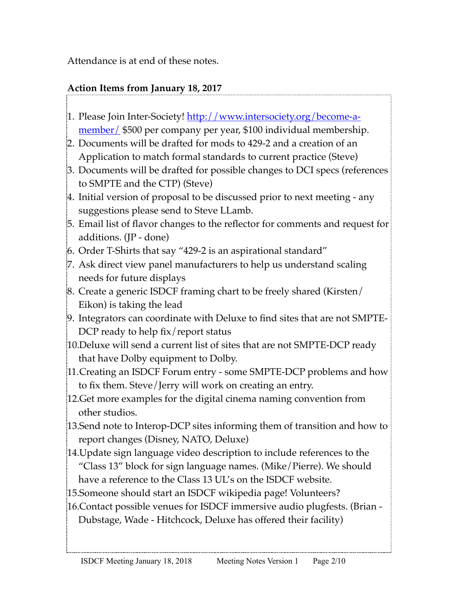Attendance is at end of these notes.

# **Action Items from January 18, 2017**

- 1. Please Join Inter-Society! [http://www.intersociety.org/become-a](http://www.intersociety.org/become-a-member/)[member/](http://www.intersociety.org/become-a-member/) \$500 per company per year, \$100 individual membership.
- 2. Documents will be drafted for mods to 429-2 and a creation of an Application to match formal standards to current practice (Steve)
- 3. Documents will be drafted for possible changes to DCI specs (references to SMPTE and the CTP) (Steve)
- 4. Initial version of proposal to be discussed prior to next meeting any suggestions please send to Steve LLamb.
- 5. Email list of flavor changes to the reflector for comments and request for additions. (JP - done)
- 6. Order T-Shirts that say "429-2 is an aspirational standard"
- 7. Ask direct view panel manufacturers to help us understand scaling needs for future displays
- 8. Create a generic ISDCF framing chart to be freely shared (Kirsten/ Eikon) is taking the lead
- 9. Integrators can coordinate with Deluxe to find sites that are not SMPTE-DCP ready to help fix/report status
- 10.Deluxe will send a current list of sites that are not SMPTE-DCP ready that have Dolby equipment to Dolby.
- 11.Creating an ISDCF Forum entry some SMPTE-DCP problems and how to fix them. Steve/Jerry will work on creating an entry.
- 12.Get more examples for the digital cinema naming convention from other studios.
- 13.Send note to Interop-DCP sites informing them of transition and how to report changes (Disney, NATO, Deluxe)
- 14.Update sign language video description to include references to the "Class 13" block for sign language names. (Mike/Pierre). We should have a reference to the Class 13 UL's on the ISDCF website.
- 15.Someone should start an ISDCF wikipedia page! Volunteers?
- 16.Contact possible venues for ISDCF immersive audio plugfests. (Brian Dubstage, Wade - Hitchcock, Deluxe has offered their facility)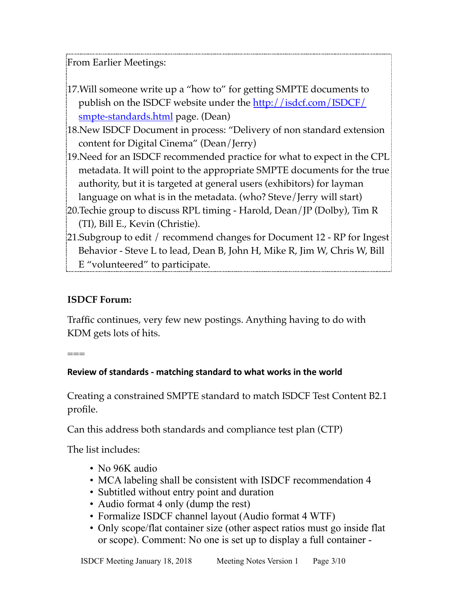From Earlier Meetings:

- 17.Will someone write up a "how to" for getting SMPTE documents to publish on the ISDCF website under the [http://isdcf.com/ISDCF/](http://isdcf.com/ISDCF/smpte-standards.html) [smpte-standards.html](http://isdcf.com/ISDCF/smpte-standards.html) page. (Dean)
- 18.New ISDCF Document in process: "Delivery of non standard extension content for Digital Cinema" (Dean/Jerry)
- 19.Need for an ISDCF recommended practice for what to expect in the CPL metadata. It will point to the appropriate SMPTE documents for the true authority, but it is targeted at general users (exhibitors) for layman language on what is in the metadata. (who? Steve/Jerry will start)
- 20.Techie group to discuss RPL timing Harold, Dean/JP (Dolby), Tim R (TI), Bill E., Kevin (Christie).
- 21.Subgroup to edit / recommend changes for Document 12 RP for Ingest Behavior - Steve L to lead, Dean B, John H, Mike R, Jim W, Chris W, Bill E "volunteered" to participate.

# **ISDCF Forum:**

Traffic continues, very few new postings. Anything having to do with KDM gets lots of hits.

===

### Review of standards - matching standard to what works in the world

Creating a constrained SMPTE standard to match ISDCF Test Content B2.1 profile.

Can this address both standards and compliance test plan (CTP)

The list includes:

- No 96K audio
- MCA labeling shall be consistent with ISDCF recommendation 4
- Subtitled without entry point and duration
- Audio format 4 only (dump the rest)
- Formalize ISDCF channel layout (Audio format 4 WTF)
- Only scope/flat container size (other aspect ratios must go inside flat or scope). Comment: No one is set up to display a full container -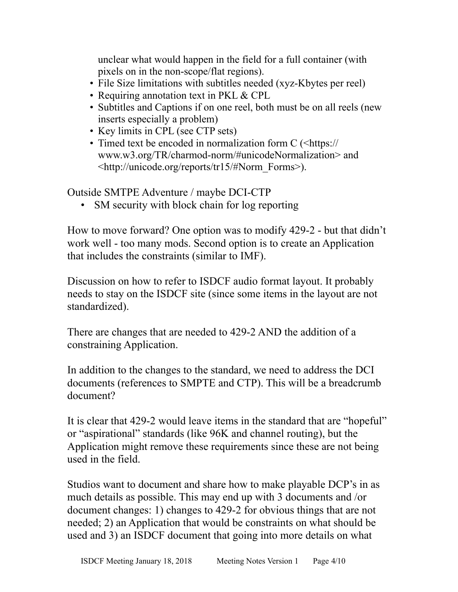unclear what would happen in the field for a full container (with pixels on in the non-scope/flat regions).

- File Size limitations with subtitles needed (xyz-Kbytes per reel)
- Requiring annotation text in PKL & CPL
- Subtitles and Captions if on one reel, both must be on all reels (new inserts especially a problem)
- Key limits in CPL (see CTP sets)
- Timed text be encoded in normalization form C (<[https://](https://www.w3.org/TR/charmod-norm/#unicodeNormalization) [www.w3.org/TR/charmod-norm/#unicodeNormalization>](https://www.w3.org/TR/charmod-norm/#unicodeNormalization) and <[http://unicode.org/reports/tr15/#Norm\\_Forms](http://unicode.org/reports/tr15/#Norm_Forms)>).

Outside SMTPE Adventure / maybe DCI-CTP

SM security with block chain for log reporting

How to move forward? One option was to modify 429-2 - but that didn't work well - too many mods. Second option is to create an Application that includes the constraints (similar to IMF).

Discussion on how to refer to ISDCF audio format layout. It probably needs to stay on the ISDCF site (since some items in the layout are not standardized).

There are changes that are needed to 429-2 AND the addition of a constraining Application.

In addition to the changes to the standard, we need to address the DCI documents (references to SMPTE and CTP). This will be a breadcrumb document?

It is clear that 429-2 would leave items in the standard that are "hopeful" or "aspirational" standards (like 96K and channel routing), but the Application might remove these requirements since these are not being used in the field.

Studios want to document and share how to make playable DCP's in as much details as possible. This may end up with 3 documents and /or document changes: 1) changes to 429-2 for obvious things that are not needed; 2) an Application that would be constraints on what should be used and 3) an ISDCF document that going into more details on what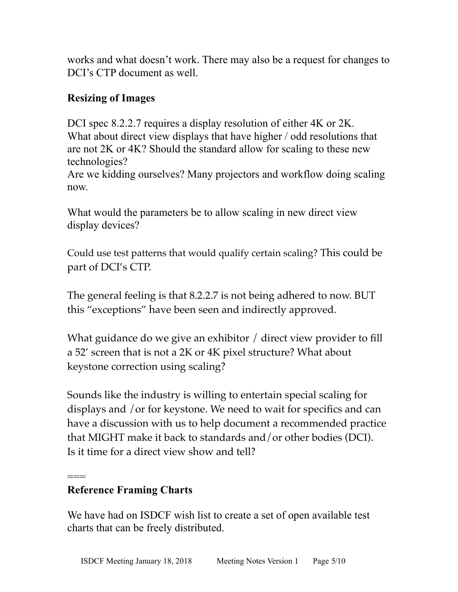works and what doesn't work. There may also be a request for changes to DCI's CTP document as well.

# **Resizing of Images**

DCI spec 8.2.2.7 requires a display resolution of either 4K or 2K. What about direct view displays that have higher / odd resolutions that are not 2K or 4K? Should the standard allow for scaling to these new technologies?

Are we kidding ourselves? Many projectors and workflow doing scaling now.

What would the parameters be to allow scaling in new direct view display devices?

Could use test patterns that would qualify certain scaling? This could be part of DCI's CTP.

The general feeling is that 8.2.2.7 is not being adhered to now. BUT this "exceptions" have been seen and indirectly approved.

What guidance do we give an exhibitor / direct view provider to fill a 52' screen that is not a 2K or 4K pixel structure? What about keystone correction using scaling?

Sounds like the industry is willing to entertain special scaling for displays and /or for keystone. We need to wait for specifics and can have a discussion with us to help document a recommended practice that MIGHT make it back to standards and/or other bodies (DCI). Is it time for a direct view show and tell?

### === **Reference Framing Charts**

We have had on ISDCF wish list to create a set of open available test charts that can be freely distributed.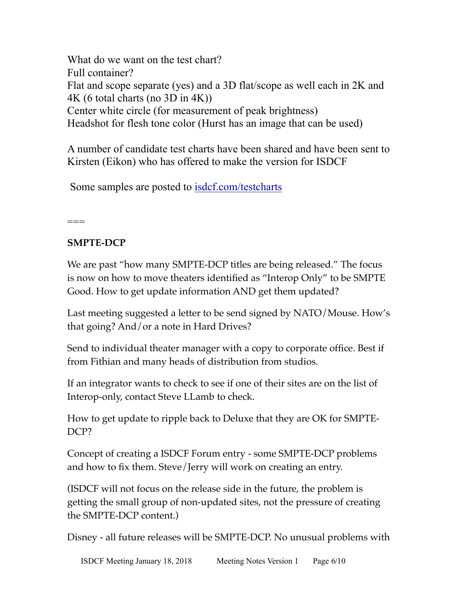What do we want on the test chart? Full container? Flat and scope separate (yes) and a 3D flat/scope as well each in 2K and 4K (6 total charts (no 3D in 4K)) Center white circle (for measurement of peak brightness) Headshot for flesh tone color (Hurst has an image that can be used)

A number of candidate test charts have been shared and have been sent to Kirsten (Eikon) who has offered to make the version for ISDCF

Some samples are posted to [isdcf.com/testcharts](http://isdcf.com/testcharts)

 $==$ 

# **SMPTE-DCP**

We are past "how many SMPTE-DCP titles are being released." The focus is now on how to move theaters identified as "Interop Only" to be SMPTE Good. How to get update information AND get them updated?

Last meeting suggested a letter to be send signed by NATO/Mouse. How's that going? And/or a note in Hard Drives?

Send to individual theater manager with a copy to corporate office. Best if from Fithian and many heads of distribution from studios.

If an integrator wants to check to see if one of their sites are on the list of Interop-only, contact Steve LLamb to check.

How to get update to ripple back to Deluxe that they are OK for SMPTE-DCP?

Concept of creating a ISDCF Forum entry - some SMPTE-DCP problems and how to fix them. Steve/Jerry will work on creating an entry.

(ISDCF will not focus on the release side in the future, the problem is getting the small group of non-updated sites, not the pressure of creating the SMPTE-DCP content.)

Disney - all future releases will be SMPTE-DCP. No unusual problems with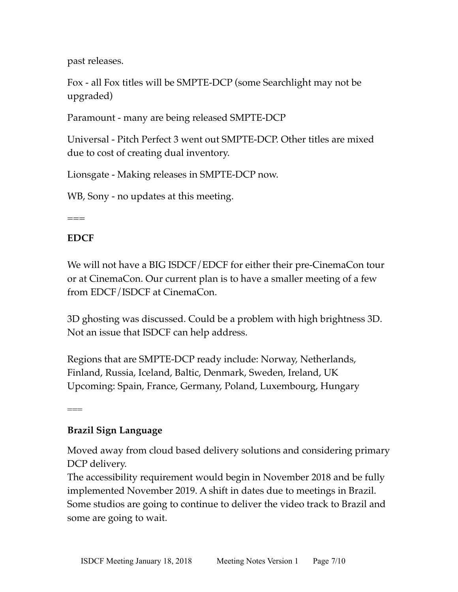past releases.

Fox - all Fox titles will be SMPTE-DCP (some Searchlight may not be upgraded)

Paramount - many are being released SMPTE-DCP

Universal - Pitch Perfect 3 went out SMPTE-DCP. Other titles are mixed due to cost of creating dual inventory.

Lionsgate - Making releases in SMPTE-DCP now.

WB, Sony - no updates at this meeting.

 $===$ 

### **EDCF**

We will not have a BIG ISDCF/EDCF for either their pre-CinemaCon tour or at CinemaCon. Our current plan is to have a smaller meeting of a few from EDCF/ISDCF at CinemaCon.

3D ghosting was discussed. Could be a problem with high brightness 3D. Not an issue that ISDCF can help address.

Regions that are SMPTE-DCP ready include: Norway, Netherlands, Finland, Russia, Iceland, Baltic, Denmark, Sweden, Ireland, UK Upcoming: Spain, France, Germany, Poland, Luxembourg, Hungary

===

### **Brazil Sign Language**

Moved away from cloud based delivery solutions and considering primary DCP delivery.

The accessibility requirement would begin in November 2018 and be fully implemented November 2019. A shift in dates due to meetings in Brazil. Some studios are going to continue to deliver the video track to Brazil and some are going to wait.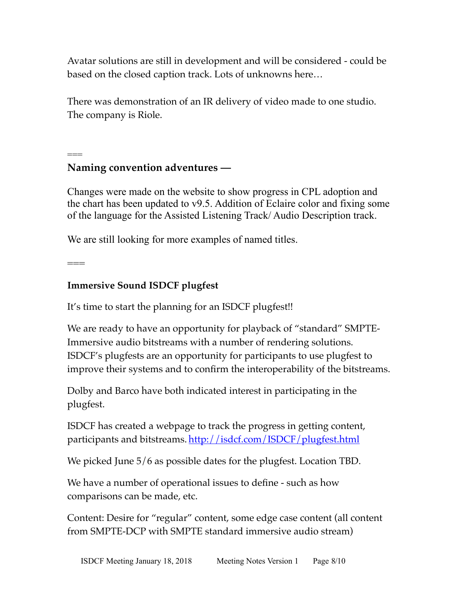Avatar solutions are still in development and will be considered - could be based on the closed caption track. Lots of unknowns here…

There was demonstration of an IR delivery of video made to one studio. The company is Riole.

#### === **Naming convention adventures —**

Changes were made on the website to show progress in CPL adoption and the chart has been updated to v9.5. Addition of Eclaire color and fixing some of the language for the Assisted Listening Track/ Audio Description track.

We are still looking for more examples of named titles.

 $=$ 

### **Immersive Sound ISDCF plugfest**

It's time to start the planning for an ISDCF plugfest!!

We are ready to have an opportunity for playback of "standard" SMPTE-Immersive audio bitstreams with a number of rendering solutions. ISDCF's plugfests are an opportunity for participants to use plugfest to improve their systems and to confirm the interoperability of the bitstreams.

Dolby and Barco have both indicated interest in participating in the plugfest.

ISDCF has created a webpage to track the progress in getting content, participants and bitstreams. <http://isdcf.com/ISDCF/plugfest.html>

We picked June 5/6 as possible dates for the plugfest. Location TBD.

We have a number of operational issues to define - such as how comparisons can be made, etc.

Content: Desire for "regular" content, some edge case content (all content from SMPTE-DCP with SMPTE standard immersive audio stream)